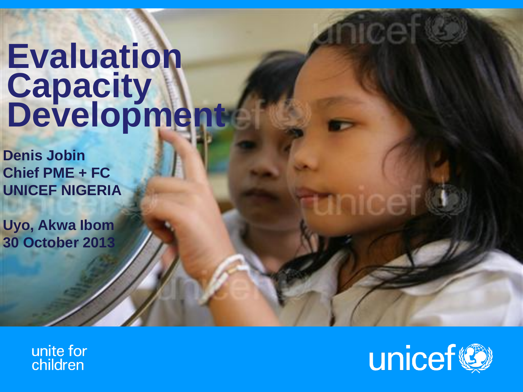# **Evaluation Capacity Development**

**Denis Jobin Chief PME + FC UNICEF NIGERIA**

**Uyo, Akwa Ibom 30 October 2013**

> unite for children

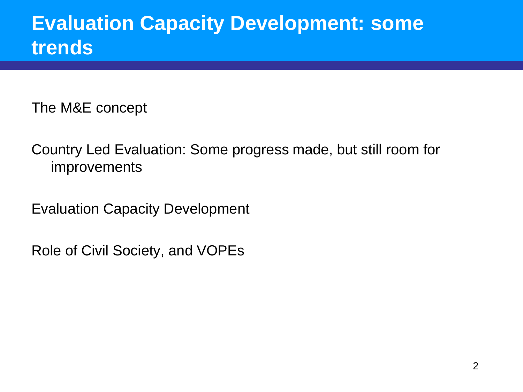## **Evaluation Capacity Development: some trends**

The M&E concept

Country Led Evaluation: Some progress made, but still room for improvements

Evaluation Capacity Development

Role of Civil Society, and VOPEs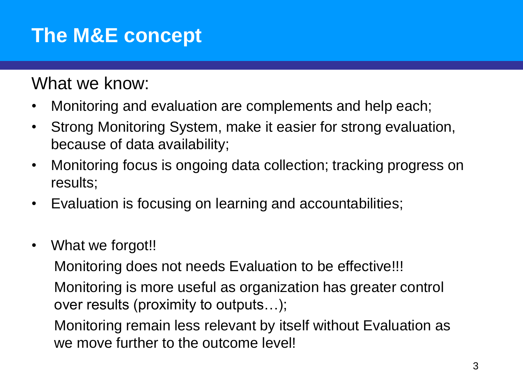## **The M&E concept**

What we know:

- Monitoring and evaluation are complements and help each;
- Strong Monitoring System, make it easier for strong evaluation, because of data availability;
- Monitoring focus is ongoing data collection; tracking progress on results;
- Evaluation is focusing on learning and accountabilities;
- What we forgot!!

Monitoring does not needs Evaluation to be effective!!! Monitoring is more useful as organization has greater control over results (proximity to outputs…);

Monitoring remain less relevant by itself without Evaluation as we move further to the outcome level!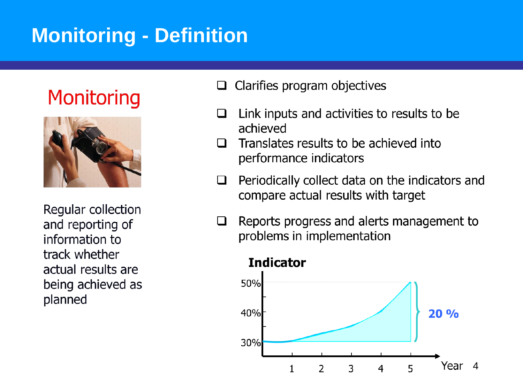## **Monitoring - Definition**

## **Monitoring**



Regular collection and reporting of information to track whether actual results are being achieved as planned

- Clarifies program objectives  $\Box$
- Link inputs and activities to results to be  $\Box$ achieved
- Translates results to be achieved into  $\mathsf{L}$ performance indicators
- Periodically collect data on the indicators and  $\Box$ compare actual results with target
- Reports progress and alerts management to  $\Box$ problems in implementation

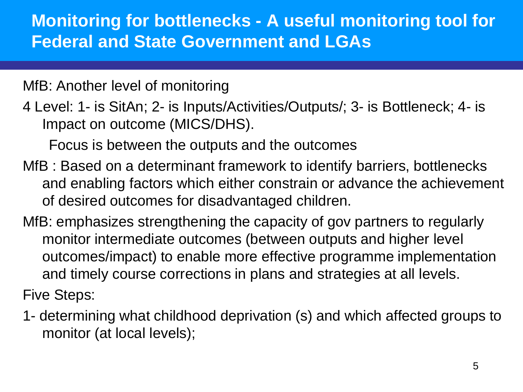### **Monitoring for bottlenecks - A useful monitoring tool for Federal and State Government and LGAs**

MfB: Another level of monitoring

4 Level: 1- is SitAn; 2- is Inputs/Activities/Outputs/; 3- is Bottleneck; 4- is Impact on outcome (MICS/DHS).

Focus is between the outputs and the outcomes

- MfB : Based on a determinant framework to identify barriers, bottlenecks and enabling factors which either constrain or advance the achievement of desired outcomes for disadvantaged children.
- MfB: emphasizes strengthening the capacity of gov partners to regularly monitor intermediate outcomes (between outputs and higher level outcomes/impact) to enable more effective programme implementation and timely course corrections in plans and strategies at all levels.

Five Steps:

1- determining what childhood deprivation (s) and which affected groups to monitor (at local levels);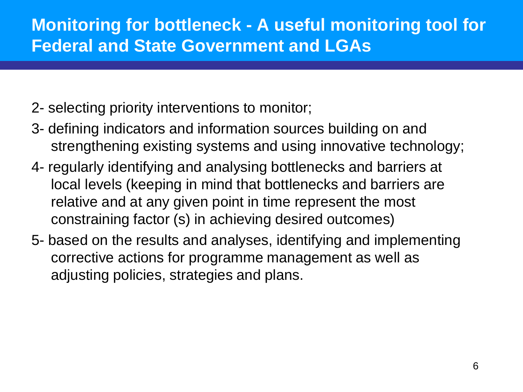### **Monitoring for bottleneck - A useful monitoring tool for Federal and State Government and LGAs**

- 2- selecting priority interventions to monitor;
- 3- defining indicators and information sources building on and strengthening existing systems and using innovative technology;
- 4- regularly identifying and analysing bottlenecks and barriers at local levels (keeping in mind that bottlenecks and barriers are relative and at any given point in time represent the most constraining factor (s) in achieving desired outcomes)
- 5- based on the results and analyses, identifying and implementing corrective actions for programme management as well as adjusting policies, strategies and plans.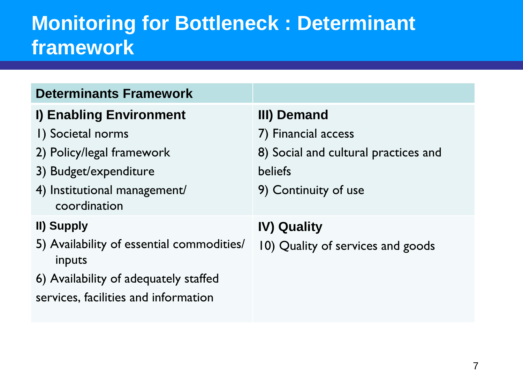## **Monitoring for Bottleneck : Determinant framework**

| <b>Determinants Framework</b>                       |                                      |
|-----------------------------------------------------|--------------------------------------|
| I) Enabling Environment                             | III) Demand                          |
| I) Societal norms                                   | 7) Financial access                  |
| 2) Policy/legal framework                           | 8) Social and cultural practices and |
| 3) Budget/expenditure                               | <b>beliefs</b>                       |
| 4) Institutional management/<br>coordination        | 9) Continuity of use                 |
| II) Supply                                          | <b>IV) Quality</b>                   |
| 5) Availability of essential commodities/<br>inputs | 10) Quality of services and goods    |
| 6) Availability of adequately staffed               |                                      |
| services, facilities and information                |                                      |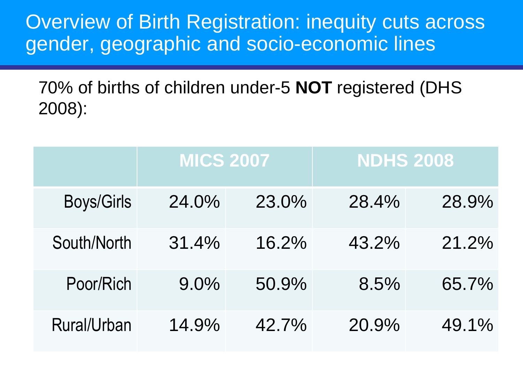Overview of Birth Registration: inequity cuts across gender, geographic and socio-economic lines

70% of births of children under-5 **NOT** registered (DHS 2008):

|                   | <b>MICS 2007</b> |       | <b>NDHS 2008</b> |       |
|-------------------|------------------|-------|------------------|-------|
| <b>Boys/Girls</b> | 24.0%            | 23.0% | 28.4%            | 28.9% |
| South/North       | 31.4%            | 16.2% | 43.2%            | 21.2% |
| Poor/Rich         | $9.0\%$          | 50.9% | 8.5%             | 65.7% |
| Rural/Urban       | 14.9%            | 42.7% | 20.9%            | 49.1% |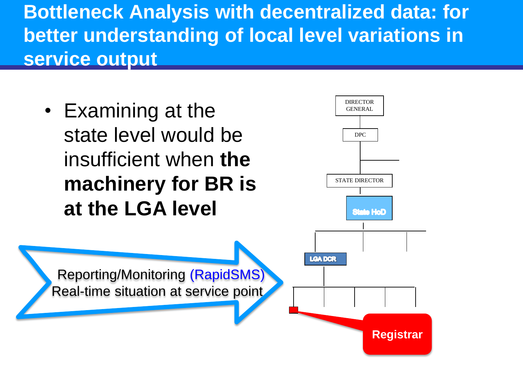**Bottleneck Analysis with decentralized data: for better understanding of local level variations in service output** 

• Examining at the state level would be insufficient when **the machinery for BR is at the LGA level**



 Reporting/Monitoring (RapidSMS) Real-time situation at service point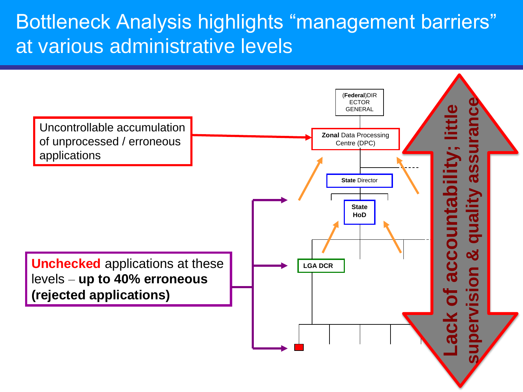## Bottleneck Analysis highlights "management barriers" at various administrative levels

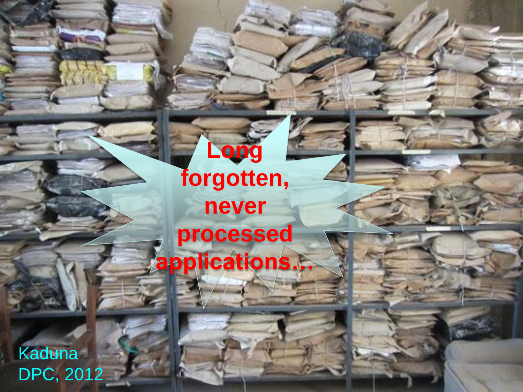Kaduna DPC, 2012

# **Long forgotten, never processed applications…**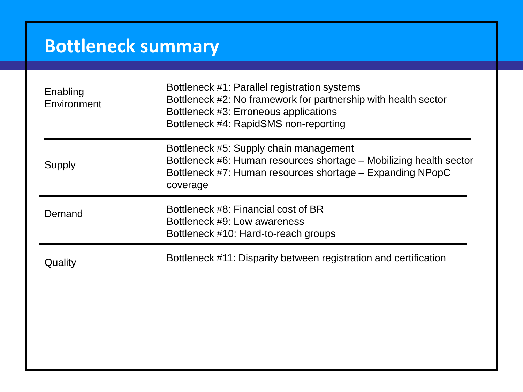## **Bottleneck summary**

| Enabling<br>Environment | Bottleneck #1: Parallel registration systems<br>Bottleneck #2: No framework for partnership with health sector<br>Bottleneck #3: Erroneous applications<br>Bottleneck #4: RapidSMS non-reporting |
|-------------------------|--------------------------------------------------------------------------------------------------------------------------------------------------------------------------------------------------|
| <b>Supply</b>           | Bottleneck #5: Supply chain management<br>Bottleneck #6: Human resources shortage – Mobilizing health sector<br>Bottleneck #7: Human resources shortage - Expanding NPopC<br>coverage            |
| Demand                  | Bottleneck #8: Financial cost of BR<br>Bottleneck #9: Low awareness<br>Bottleneck #10: Hard-to-reach groups                                                                                      |
| Quality                 | Bottleneck #11: Disparity between registration and certification                                                                                                                                 |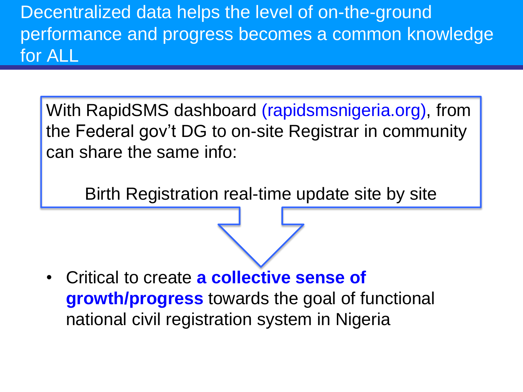Decentralized data helps the level of on-the-ground performance and progress becomes a common knowledge for ALL

With RapidSMS dashboard (rapidsmsnigeria.org), from the Federal gov't DG to on-site Registrar in community can share the same info:

Birth Registration real-time update site by site

• Critical to create **a collective sense of growth/progress** towards the goal of functional national civil registration system in Nigeria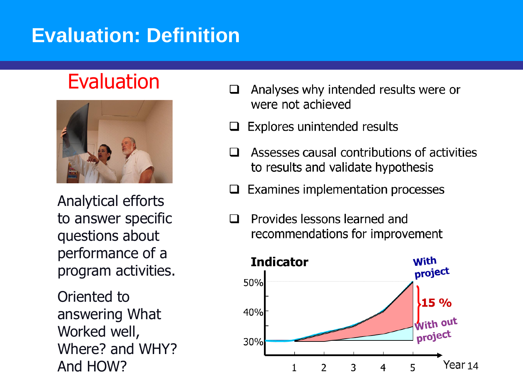## **Evaluation: Definition**

## Evaluation



Analytical efforts to answer specific questions about performance of a program activities.

Oriented to answering What Worked well, Where? and WHY? And HOW?

- Analyses why intended results were or were not achieved
- **Explores unintended results**
- Assesses causal contributions of activities to results and validate hypothesis
- Examines implementation processes
- Provides lessons learned and recommendations for improvement

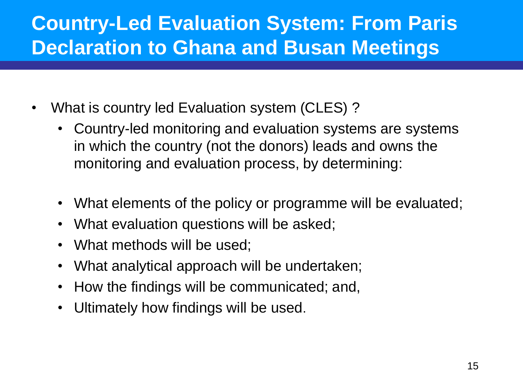## **Country-Led Evaluation System: From Paris Declaration to Ghana and Busan Meetings**

- What is country led Evaluation system (CLES) ?
	- Country-led monitoring and evaluation systems are systems in which the country (not the donors) leads and owns the monitoring and evaluation process, by determining:
	- What elements of the policy or programme will be evaluated;
	- What evaluation questions will be asked;
	- What methods will be used;
	- What analytical approach will be undertaken;
	- How the findings will be communicated; and,
	- Ultimately how findings will be used.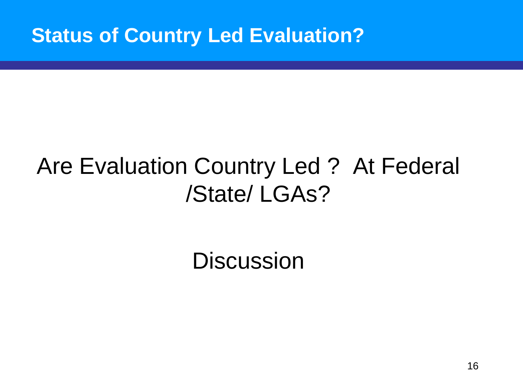### **Status of Country Led Evaluation?**

# Are Evaluation Country Led ? At Federal /State/ LGAs?

**Discussion**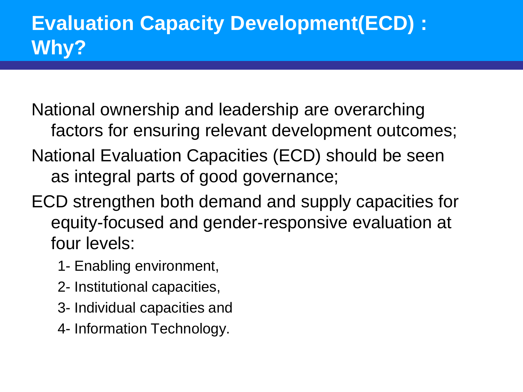National ownership and leadership are overarching factors for ensuring relevant development outcomes;

- National Evaluation Capacities (ECD) should be seen as integral parts of good governance;
- ECD strengthen both demand and supply capacities for equity-focused and gender-responsive evaluation at four levels:
	- 1- Enabling environment,
	- 2- Institutional capacities,
	- 3- Individual capacities and
	- 4- Information Technology.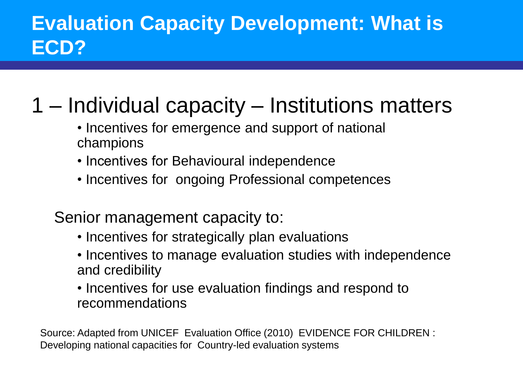## **Evaluation Capacity Development: What is ECD?**

## 1 – Individual capacity – Institutions matters

- Incentives for emergence and support of national champions
- Incentives for Behavioural independence
- Incentives for ongoing Professional competences
- Senior management capacity to:
	- Incentives for strategically plan evaluations
	- Incentives to manage evaluation studies with independence and credibility
	- Incentives for use evaluation findings and respond to recommendations

Source: Adapted from UNICEF Evaluation Office (2010) EVIDENCE FOR CHILDREN : Developing national capacities for Country-led evaluation systems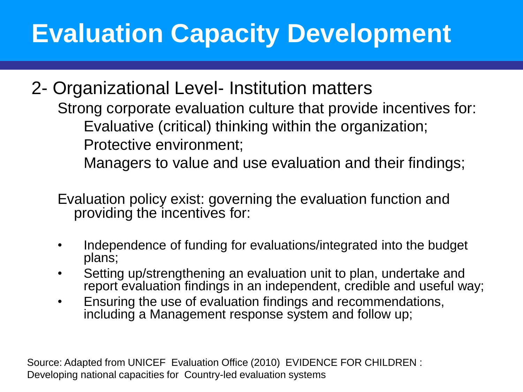# **Evaluation Capacity Development**

2- Organizational Level- Institution matters Strong corporate evaluation culture that provide incentives for: Evaluative (critical) thinking within the organization; Protective environment;

Managers to value and use evaluation and their findings;

Evaluation policy exist: governing the evaluation function and providing the incentives for:

- Independence of funding for evaluations/integrated into the budget plans;
- Setting up/strengthening an evaluation unit to plan, undertake and report evaluation findings in an independent, credible and useful way;
- Ensuring the use of evaluation findings and recommendations, including a Management response system and follow up;

Source: Adapted from UNICEF Evaluation Office (2010) EVIDENCE FOR CHILDREN : Developing national capacities for Country-led evaluation systems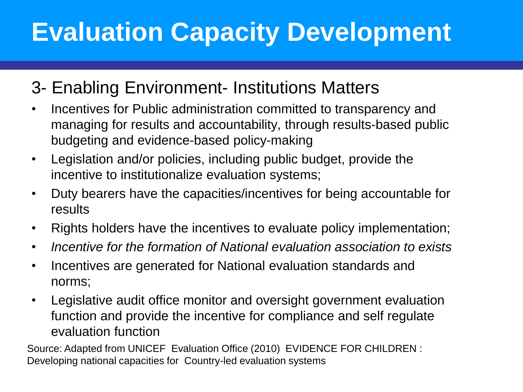# **Evaluation Capacity Development**

### 3- Enabling Environment- Institutions Matters

- Incentives for Public administration committed to transparency and managing for results and accountability, through results-based public budgeting and evidence-based policy-making
- Legislation and/or policies, including public budget, provide the incentive to institutionalize evaluation systems;
- Duty bearers have the capacities/incentives for being accountable for results
- Rights holders have the incentives to evaluate policy implementation;
- *Incentive for the formation of National evaluation association to exists*
- Incentives are generated for National evaluation standards and norms;
- Legislative audit office monitor and oversight government evaluation function and provide the incentive for compliance and self regulate evaluation function

Source: Adapted from UNICEF Evaluation Office (2010) EVIDENCE FOR CHILDREN : Developing national capacities for Country-led evaluation systems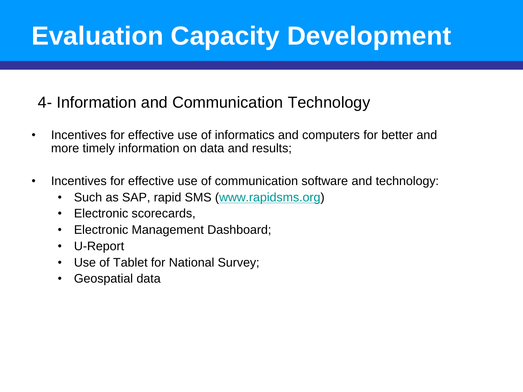# **Evaluation Capacity Development**

### 4- Information and Communication Technology

- Incentives for effective use of informatics and computers for better and more timely information on data and results;
- Incentives for effective use of communication software and technology:
	- Such as SAP, rapid SMS ([www.rapidsms.org](https://www.rapidsms.org/))
	- Electronic scorecards,
	- Electronic Management Dashboard;
	- U-Report
	- Use of Tablet for National Survey;
	- Geospatial data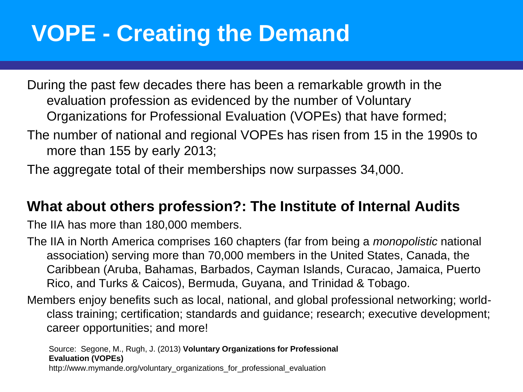## **VOPE - Creating the Demand**

During the past few decades there has been a remarkable growth in the evaluation profession as evidenced by the number of Voluntary Organizations for Professional Evaluation (VOPEs) that have formed;

The number of national and regional VOPEs has risen from 15 in the 1990s to more than 155 by early 2013;

The aggregate total of their memberships now surpasses 34,000.

#### **What about others profession?: The Institute of Internal Audits**

The IIA has more than 180,000 members.

The IIA in North America comprises 160 chapters (far from being a *monopolistic* national association) serving more than 70,000 members in the United States, Canada, the Caribbean (Aruba, Bahamas, Barbados, Cayman Islands, Curacao, Jamaica, Puerto Rico, and Turks & Caicos), Bermuda, Guyana, and Trinidad & Tobago.

Members enjoy benefits such as local, national, and global professional networking; worldclass training; certification; standards and guidance; research; executive development; career opportunities; and more!

Source: Segone, M., Rugh, J. (2013) **Voluntary Organizations for Professional Evaluation (VOPEs)**  http://www.mymande.org/voluntary\_organizations\_for\_professional\_evaluation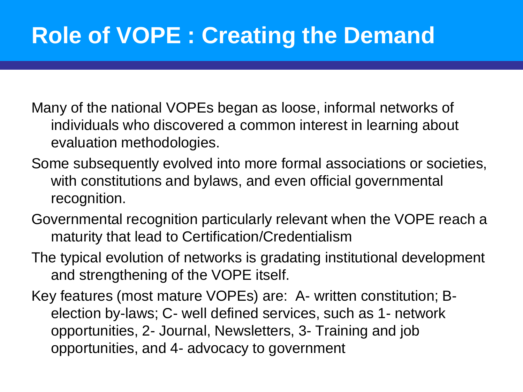- Many of the national VOPEs began as loose, informal networks of individuals who discovered a common interest in learning about evaluation methodologies.
- Some subsequently evolved into more formal associations or societies, with constitutions and bylaws, and even official governmental recognition.
- Governmental recognition particularly relevant when the VOPE reach a maturity that lead to Certification/Credentialism
- The typical evolution of networks is gradating institutional development and strengthening of the VOPE itself.
- Key features (most mature VOPEs) are: A- written constitution; Belection by-laws; C- well defined services, such as 1- network opportunities, 2- Journal, Newsletters, 3- Training and job opportunities, and 4- advocacy to government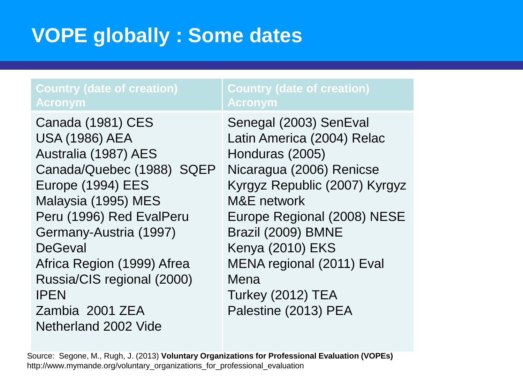## **VOPE globally : Some dates**

#### **Country (date of creation) Acronym**

Canada (1981) CES USA (1986) AEA Australia (1987) AES Canada/Quebec (1988) SQEP Europe (1994) EES Malaysia (1995) MES Peru (1996) Red EvalPeru Germany-Austria (1997) **DeGeval** Africa Region (1999) Afrea Russia/CIS regional (2000) IPEN Zambia 2001 ZEA Netherland 2002 Vide

#### **Country (date of creation) Acronym**

Senegal (2003) SenEval Latin America (2004) Relac Honduras (2005) Nicaragua (2006) Renicse Kyrgyz Republic (2007) Kyrgyz M&E network Europe Regional (2008) NESE Brazil (2009) BMNE Kenya (2010) EKS MENA regional (2011) Eval Mena Turkey (2012) TEA Palestine (2013) PEA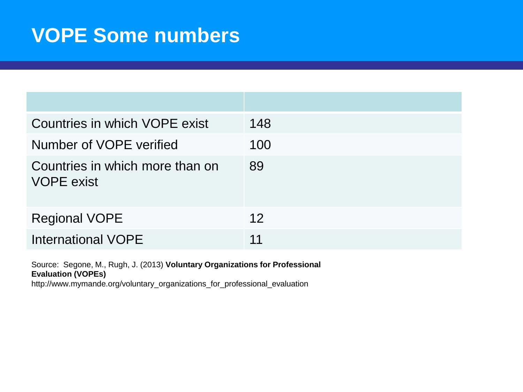## **VOPE Some numbers**

| Countries in which VOPE exist                        | 148 |
|------------------------------------------------------|-----|
| Number of VOPE verified                              | 100 |
| Countries in which more than on<br><b>VOPE</b> exist | 89  |
| <b>Regional VOPE</b>                                 | 12  |
| <b>International VOPE</b>                            | 11  |

Source: Segone, M., Rugh, J. (2013) **Voluntary Organizations for Professional Evaluation (VOPEs)**  http://www.mymande.org/voluntary\_organizations\_for\_professional\_evaluation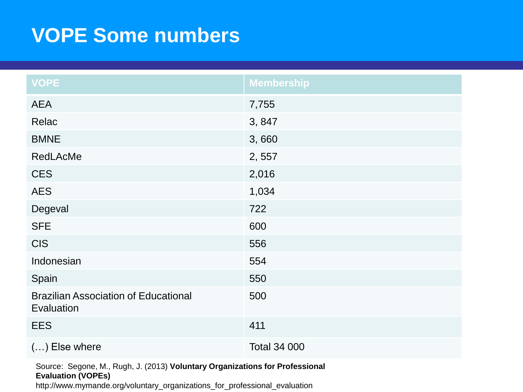## **VOPE Some numbers**

| <b>VOPE</b>                                               | <b>Membership</b>   |
|-----------------------------------------------------------|---------------------|
| <b>AEA</b>                                                | 7,755               |
| Relac                                                     | 3,847               |
| <b>BMNE</b>                                               | 3,660               |
| <b>RedLAcMe</b>                                           | 2,557               |
| <b>CES</b>                                                | 2,016               |
| <b>AES</b>                                                | 1,034               |
| Degeval                                                   | 722                 |
| <b>SFE</b>                                                | 600                 |
| <b>CIS</b>                                                | 556                 |
| Indonesian                                                | 554                 |
| Spain                                                     | 550                 |
| <b>Brazilian Association of Educational</b><br>Evaluation | 500                 |
| <b>EES</b>                                                | 411                 |
| $()$ Else where                                           | <b>Total 34 000</b> |

Source: Segone, M., Rugh, J. (2013) **Voluntary Organizations for Professional Evaluation (VOPEs)** 

http://www.mymande.org/voluntary\_organizations\_for\_professional\_evaluation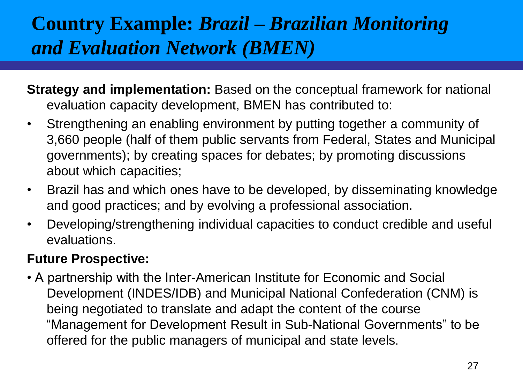## **Country Example:** *Brazil – Brazilian Monitoring and Evaluation Network (BMEN)*

- **Strategy and implementation:** Based on the conceptual framework for national evaluation capacity development, BMEN has contributed to:
- Strengthening an enabling environment by putting together a community of 3,660 people (half of them public servants from Federal, States and Municipal governments); by creating spaces for debates; by promoting discussions about which capacities;
- Brazil has and which ones have to be developed, by disseminating knowledge and good practices; and by evolving a professional association.
- Developing/strengthening individual capacities to conduct credible and useful evaluations.

#### **Future Prospective:**

• A partnership with the Inter-American Institute for Economic and Social Development (INDES/IDB) and Municipal National Confederation (CNM) is being negotiated to translate and adapt the content of the course "Management for Development Result in Sub-National Governments" to be offered for the public managers of municipal and state levels.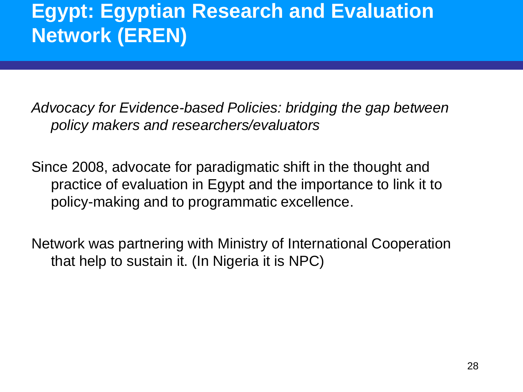## **Egypt: Egyptian Research and Evaluation Network (EREN)**

*Advocacy for Evidence-based Policies: bridging the gap between policy makers and researchers/evaluators*

Since 2008, advocate for paradigmatic shift in the thought and practice of evaluation in Egypt and the importance to link it to policy-making and to programmatic excellence.

Network was partnering with Ministry of International Cooperation that help to sustain it. (In Nigeria it is NPC)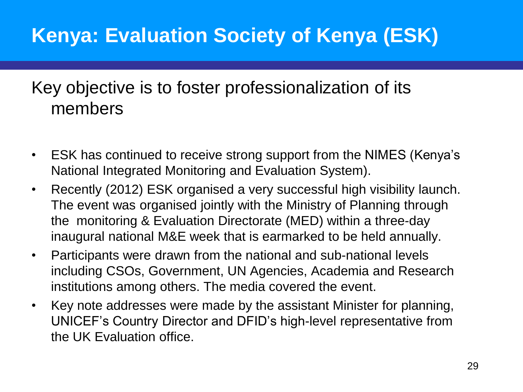## **Kenya: Evaluation Society of Kenya (ESK)**

### Key objective is to foster professionalization of its members

- ESK has continued to receive strong support from the NIMES (Kenya's National Integrated Monitoring and Evaluation System).
- Recently (2012) ESK organised a very successful high visibility launch. The event was organised jointly with the Ministry of Planning through the monitoring & Evaluation Directorate (MED) within a three-day inaugural national M&E week that is earmarked to be held annually.
- Participants were drawn from the national and sub-national levels including CSOs, Government, UN Agencies, Academia and Research institutions among others. The media covered the event.
- Key note addresses were made by the assistant Minister for planning, UNICEF's Country Director and DFID's high-level representative from the UK Evaluation office.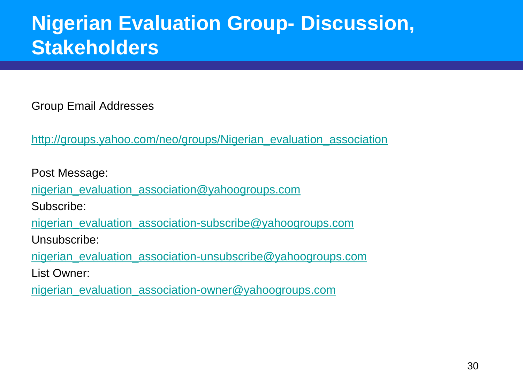## **Nigerian Evaluation Group- Discussion, Stakeholders**

Group Email Addresses

[http://groups.yahoo.com/neo/groups/Nigerian\\_evaluation\\_association](https://groups.yahoo.com/neo/groups/Nigerian_evaluation_association)

Post Message:

[nigerian\\_evaluation\\_association@yahoogroups.com](mailto:nigerian_evaluation_association@yahoogroups.com)

Subscribe:

[nigerian\\_evaluation\\_association-subscribe@yahoogroups.com](mailto:nigerian_evaluation_association-subscribe@yahoogroups.com)

Unsubscribe:

[nigerian\\_evaluation\\_association-unsubscribe@yahoogroups.com](mailto:nigerian_evaluation_association-unsubscribe@yahoogroups.com)

List Owner:

[nigerian\\_evaluation\\_association-owner@yahoogroups.com](mailto:nigerian_evaluation_association-owner@yahoogroups.com)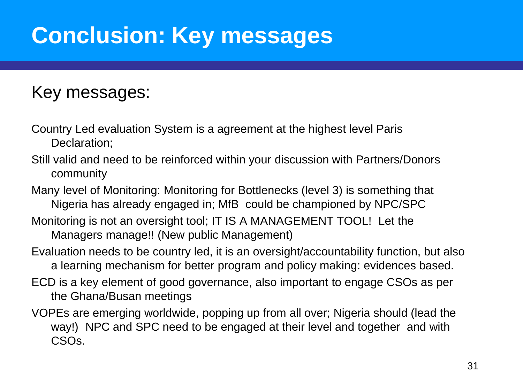# **Conclusion: Key messages**

### Key messages:

Country Led evaluation System is a agreement at the highest level Paris Declaration;

- Still valid and need to be reinforced within your discussion with Partners/Donors community
- Many level of Monitoring: Monitoring for Bottlenecks (level 3) is something that Nigeria has already engaged in; MfB could be championed by NPC/SPC
- Monitoring is not an oversight tool; IT IS A MANAGEMENT TOOL! Let the Managers manage!! (New public Management)
- Evaluation needs to be country led, it is an oversight/accountability function, but also a learning mechanism for better program and policy making: evidences based.
- ECD is a key element of good governance, also important to engage CSOs as per the Ghana/Busan meetings
- VOPEs are emerging worldwide, popping up from all over; Nigeria should (lead the way!) NPC and SPC need to be engaged at their level and together and with CSOs.